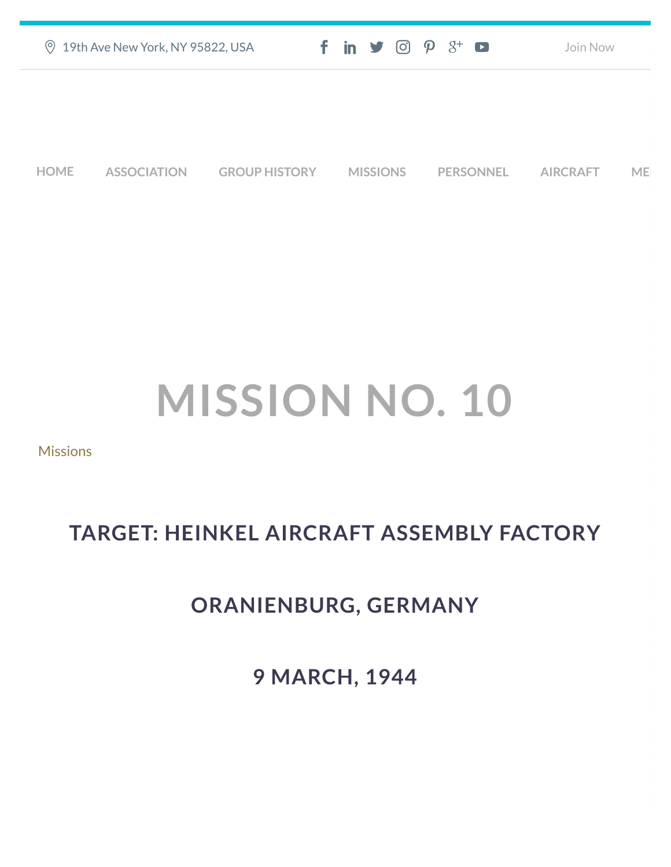| <b>9 19th Ave New York, NY 95822, USA</b> |                    |                      | $f$ in $\blacktriangleright$ $\odot$ $\varphi$ $3$ <sup>+</sup> $\blacksquare$ |                  | Join Now        |           |
|-------------------------------------------|--------------------|----------------------|--------------------------------------------------------------------------------|------------------|-----------------|-----------|
|                                           |                    |                      |                                                                                |                  |                 |           |
|                                           |                    |                      |                                                                                |                  |                 |           |
| <b>HOME</b>                               | <b>ASSOCIATION</b> | <b>GROUP HISTORY</b> | <b>MISSIONS</b>                                                                | <b>PERSONNEL</b> | <b>AIRCRAFT</b> | <b>ME</b> |

## **MISSION NO. 10**

**[Missions](https://457thbombgroupassoc.org/category/missions/)** 

## **TARGET: HEINKEL AIRCRAFT ASSEMBLY FACTORY**

## **ORANIENBURG, GERMANY**

**9 MARCH, 1944**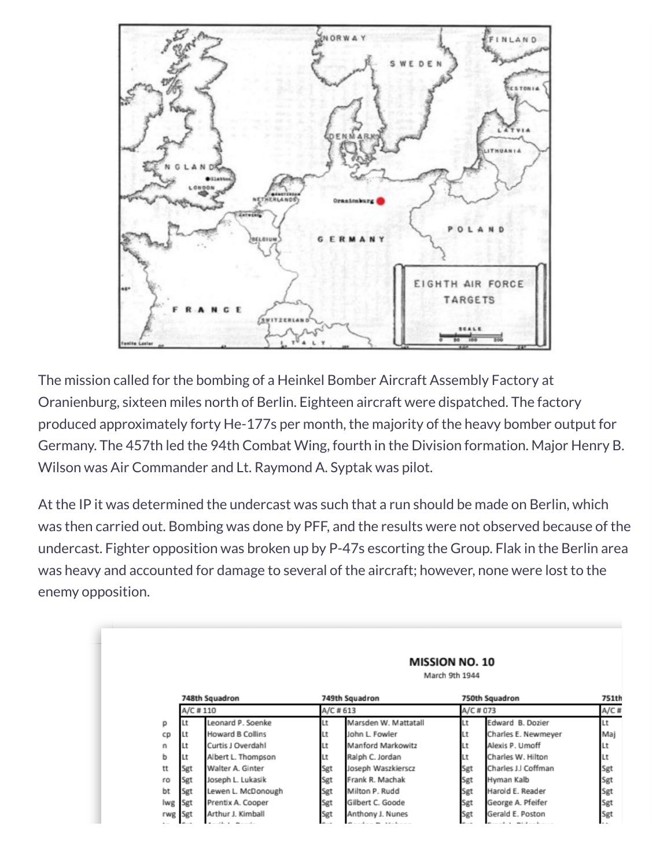

The mission called for the bombing of a Heinkel Bomber Aircraft Assembly Factory at Oranienburg, sixteen miles north of Berlin. Eighteen aircraft were dispatched. The factory produced approximately forty He-177s per month, the majority of the heavy bomber output for Germany. The 457th led the 94th Combat Wing, fourth in the Division formation. Major Henry B. Wilson was Air Commander and Lt. Raymond A. Syptak was pilot.

At the IP it was determined the undercast was such that a run should be made on Berlin, which was then carried out. Bombing was done by PFF, and the results were not observed because of the undercast. Fighter opposition was broken up by P-47s escorting the Group. Flak in the Berlin area was heavy and accounted for damage to several of the aircraft; however, none were lost to the enemy opposition.

|         |                            |                    | <b>MISSION NO. 10</b><br>March 9th 1944 |                      |                             |                     |                  |  |
|---------|----------------------------|--------------------|-----------------------------------------|----------------------|-----------------------------|---------------------|------------------|--|
|         | 748th Squadron<br>A/C #110 |                    | 749th Squadron<br>A/C #613              |                      | 750th Squadron<br>A/C # 073 |                     | 751th<br>$A/C$ # |  |
|         |                            |                    |                                         |                      |                             |                     |                  |  |
| p       |                            | Leonard P. Soenke  | Lt                                      | Marsden W. Mattatall | Lt                          | Edward B. Dozier    | Lt               |  |
| cp      |                            | Howard B Collins   | Lt                                      | John L. Fowler       | Lt                          | Charles E. Newmeyer | Mai              |  |
| n       |                            | Curtis J Overdahl  | Lt                                      | Manford Markowitz    | Lt                          | Alexis P. Umoff     | Lt               |  |
| b       |                            | Albert L. Thompson | Lt                                      | Ralph C. Jordan      | Lt                          | Charles W. Hilton   | Lt               |  |
| tt      | Sgt                        | Walter A. Ginter   | Sgt                                     | Joseph Waszkierscz   | Sgt                         | Charles J.I Coffman | Sgt              |  |
| ro      | Sgt                        | Joseph L. Lukasik  | Sgt                                     | Frank R. Machak      | Sgt                         | Hyman Kalb          | Sgt              |  |
| bt      | Sgt                        | Lewen L. McDonough | Sgt                                     | Milton P. Rudd       | Sgt                         | Harold E. Reader    | Sgt              |  |
| lwg Sgt |                            | Prentix A. Cooper  | Sgt                                     | Gilbert C. Goode     | Sgt                         | George A. Pfeifer   | Sgt              |  |
| rwg Sgt |                            | Arthur J. Kimball  | Sgt                                     | Anthony J. Nunes     | Sgt                         | Gerald E. Poston    | Sgt              |  |
|         |                            |                    |                                         |                      |                             |                     |                  |  |